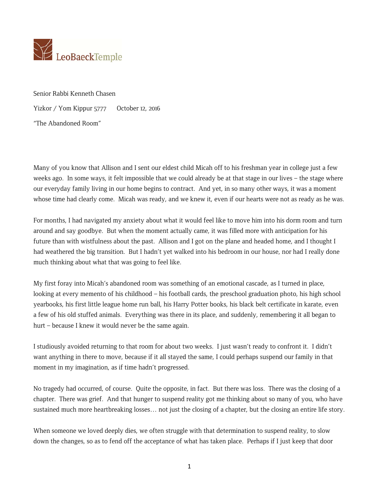

Senior Rabbi Kenneth Chasen Yizkor / Yom Kippur 5777 October 12, 2016 "The Abandoned Room"

Many of you know that Allison and I sent our eldest child Micah off to his freshman year in college just a few weeks ago. In some ways, it felt impossible that we could already be at that stage in our lives – the stage where our everyday family living in our home begins to contract. And yet, in so many other ways, it was a moment whose time had clearly come. Micah was ready, and we knew it, even if our hearts were not as ready as he was.

For months, I had navigated my anxiety about what it would feel like to move him into his dorm room and turn around and say goodbye. But when the moment actually came, it was filled more with anticipation for his future than with wistfulness about the past. Allison and I got on the plane and headed home, and I thought I had weathered the big transition. But I hadn't yet walked into his bedroom in our house, nor had I really done much thinking about what that was going to feel like.

My first foray into Micah's abandoned room was something of an emotional cascade, as I turned in place, looking at every memento of his childhood – his football cards, the preschool graduation photo, his high school yearbooks, his first little league home run ball, his Harry Potter books, his black belt certificate in karate, even a few of his old stuffed animals. Everything was there in its place, and suddenly, remembering it all began to hurt – because I knew it would never be the same again.

I studiously avoided returning to that room for about two weeks. I just wasn't ready to confront it. I didn't want anything in there to move, because if it all stayed the same, I could perhaps suspend our family in that moment in my imagination, as if time hadn't progressed.

No tragedy had occurred, of course. Quite the opposite, in fact. But there was loss. There was the closing of a chapter. There was grief. And that hunger to suspend reality got me thinking about so many of you, who have sustained much more heartbreaking losses… not just the closing of a chapter, but the closing an entire life story.

When someone we loved deeply dies, we often struggle with that determination to suspend reality, to slow down the changes, so as to fend off the acceptance of what has taken place. Perhaps if I just keep that door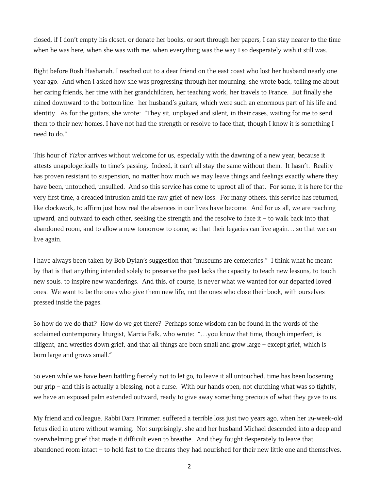closed, if I don't empty his closet, or donate her books, or sort through her papers, I can stay nearer to the time when he was here, when she was with me, when everything was the way I so desperately wish it still was.

Right before Rosh Hashanah, I reached out to a dear friend on the east coast who lost her husband nearly one year ago. And when I asked how she was progressing through her mourning, she wrote back, telling me about her caring friends, her time with her grandchildren, her teaching work, her travels to France. But finally she mined downward to the bottom line: her husband's guitars, which were such an enormous part of his life and identity. As for the guitars, she wrote: "They sit, unplayed and silent, in their cases, waiting for me to send them to their new homes. I have not had the strength or resolve to face that, though I know it is something I need to do."

This hour of *Yizkor* arrives without welcome for us, especially with the dawning of a new year, because it attests unapologetically to time's passing. Indeed, it can't all stay the same without them. It hasn't. Reality has proven resistant to suspension, no matter how much we may leave things and feelings exactly where they have been, untouched, unsullied. And so this service has come to uproot all of that. For some, it is here for the very first time, a dreaded intrusion amid the raw grief of new loss. For many others, this service has returned, like clockwork, to affirm just how real the absences in our lives have become. And for us all, we are reaching upward, and outward to each other, seeking the strength and the resolve to face it – to walk back into that abandoned room, and to allow a new tomorrow to come, so that their legacies can live again… so that we can live again.

I have always been taken by Bob Dylan's suggestion that "museums are cemeteries." I think what he meant by that is that anything intended solely to preserve the past lacks the capacity to teach new lessons, to touch new souls, to inspire new wanderings. And this, of course, is never what we wanted for our departed loved ones. We want to be the ones who give them new life, not the ones who close their book, with ourselves pressed inside the pages.

So how do we do that? How do we get there? Perhaps some wisdom can be found in the words of the acclaimed contemporary liturgist, Marcia Falk, who wrote: "…you know that time, though imperfect, is diligent, and wrestles down grief, and that all things are born small and grow large – except grief, which is born large and grows small."

So even while we have been battling fiercely not to let go, to leave it all untouched, time has been loosening our grip – and this is actually a blessing, not a curse. With our hands open, not clutching what was so tightly, we have an exposed palm extended outward, ready to give away something precious of what they gave to us.

My friend and colleague, Rabbi Dara Frimmer, suffered a terrible loss just two years ago, when her 29-week-old fetus died in utero without warning. Not surprisingly, she and her husband Michael descended into a deep and overwhelming grief that made it difficult even to breathe. And they fought desperately to leave that abandoned room intact – to hold fast to the dreams they had nourished for their new little one and themselves.